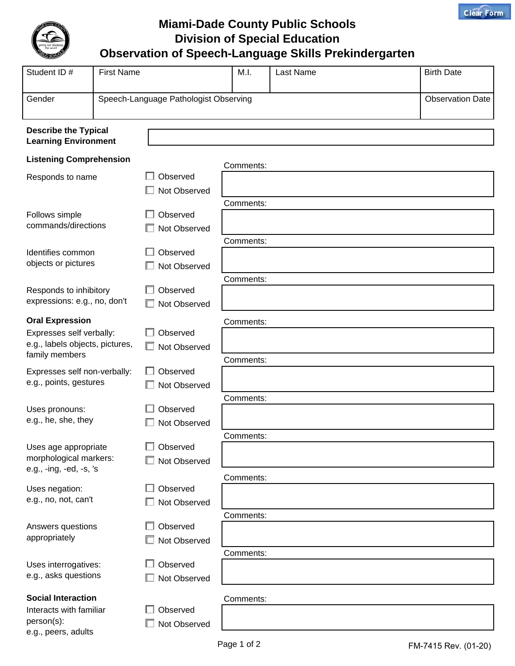

**Miami-Dade County Public Schools Division of Special Education Observation of Speech-Language Skills Prekindergarten**

| Student ID#                                                                                             | <b>First Name</b> |                                       | M.I.                   | Last Name | <b>Birth Date</b>       |
|---------------------------------------------------------------------------------------------------------|-------------------|---------------------------------------|------------------------|-----------|-------------------------|
| Gender                                                                                                  |                   | Speech-Language Pathologist Observing |                        |           | <b>Observation Date</b> |
| <b>Describe the Typical</b><br><b>Learning Environment</b>                                              |                   |                                       |                        |           |                         |
| <b>Listening Comprehension</b>                                                                          |                   |                                       | Comments:              |           |                         |
| Responds to name                                                                                        |                   | Observed<br>Not Observed              |                        |           |                         |
| Follows simple<br>commands/directions                                                                   |                   | Observed<br>Not Observed              | Comments:              |           |                         |
| Identifies common<br>objects or pictures                                                                |                   | Observed<br>Not Observed              | Comments:              |           |                         |
| Responds to inhibitory<br>expressions: e.g., no, don't                                                  |                   | Observed<br>Not Observed              | Comments:              |           |                         |
| <b>Oral Expression</b><br>Expresses self verbally:<br>e.g., labels objects, pictures,<br>family members |                   | Observed<br>Not Observed              | Comments:<br>Comments: |           |                         |
| Expresses self non-verbally:<br>e.g., points, gestures                                                  |                   | Observed<br>Not Observed              |                        |           |                         |
| Uses pronouns:<br>e.g., he, she, they                                                                   |                   | Observed<br>Not Observed              | Comments:              |           |                         |
| Uses age appropriate<br>morphological markers:<br>e.g., -ing, -ed, -s, 's                               |                   | Observed<br>Not Observed              | Comments:              |           |                         |
| Uses negation:<br>e.g., no, not, can't                                                                  |                   | Observed<br>Not Observed              | Comments:              |           |                         |
| Answers questions<br>appropriately                                                                      |                   | Observed<br>Not Observed              | Comments:              |           |                         |
| Uses interrogatives:<br>e.g., asks questions                                                            |                   | Observed<br>Not Observed              | Comments:              |           |                         |
| <b>Social Interaction</b><br>Interacts with familiar<br>person(s):<br>e.g., peers, adults               |                   | Observed<br>Not Observed              | Comments:              |           |                         |

**Clear Form**